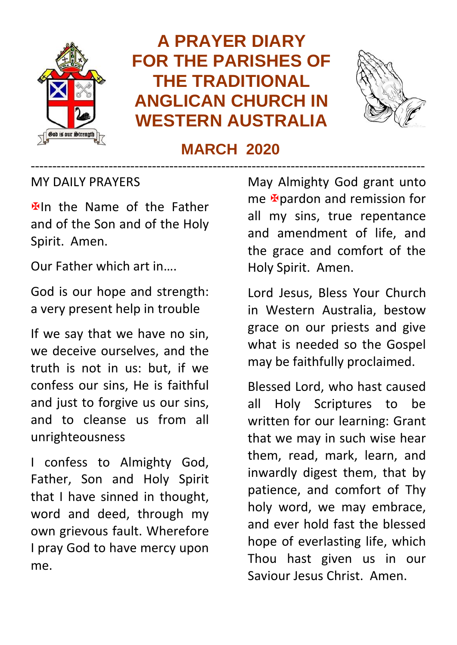

# **A PRAYER DIARY FOR THE PARISHES OF THE TRADITIONAL ANGLICAN CHURCH IN WESTERN AUSTRALIA**



## **MARCH 2020** -------------------------------------------------------------------------------------------

#### MY DAILY PRAYERS

**Elln** the Name of the Father and of the Son and of the Holy Spirit. Amen.

Our Father which art in….

God is our hope and strength: a very present help in trouble

If we say that we have no sin, we deceive ourselves, and the truth is not in us: but, if we confess our sins, He is faithful and just to forgive us our sins, and to cleanse us from all unrighteousness

I confess to Almighty God, Father, Son and Holy Spirit that I have sinned in thought, word and deed, through my own grievous fault. Wherefore I pray God to have mercy upon me.

May Almighty God grant unto me **A**pardon and remission for all my sins, true repentance and amendment of life, and the grace and comfort of the Holy Spirit. Amen.

Lord Jesus, Bless Your Church in Western Australia, bestow grace on our priests and give what is needed so the Gospel may be faithfully proclaimed.

Blessed Lord, who hast caused all Holy Scriptures to be written for our learning: Grant that we may in such wise hear them, read, mark, learn, and inwardly digest them, that by patience, and comfort of Thy holy word, we may embrace, and ever hold fast the blessed hope of everlasting life, which Thou hast given us in our Saviour Jesus Christ. Amen.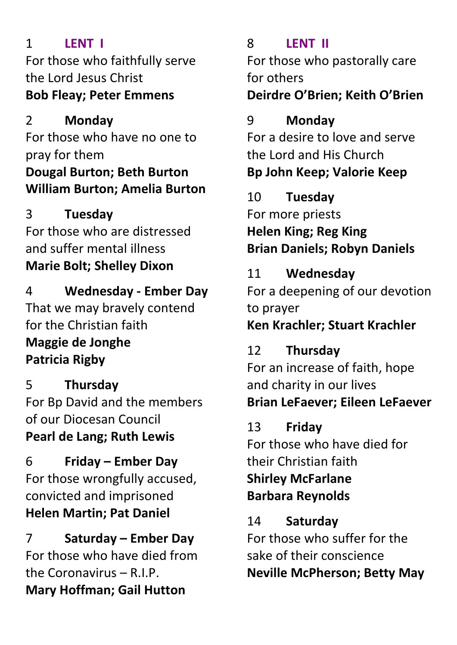## 1 **LENT I**

For those who faithfully serve the Lord Jesus Christ **Bob Fleay; Peter Emmens**

2 **Monday** For those who have no one to pray for them **Dougal Burton; Beth Burton William Burton; Amelia Burton**

## 3 **Tuesday**

For those who are distressed and suffer mental illness **Marie Bolt; Shelley Dixon**

4 **Wednesday - Ember Day** That we may bravely contend for the Christian faith **Maggie de Jonghe Patricia Rigby**

5 **Thursday** For Bp David and the members of our Diocesan Council **Pearl de Lang; Ruth Lewis**

6 **Friday – Ember Day** For those wrongfully accused, convicted and imprisoned **Helen Martin; Pat Daniel**

7 **Saturday – Ember Day** For those who have died from the Coronavirus  $- R \perp P$ . **Mary Hoffman; Gail Hutton**

## 8 **LENT II**

For those who pastorally care for others

## **Deirdre O'Brien; Keith O'Brien**

## 9 **Monday**

For a desire to love and serve the Lord and His Church **Bp John Keep; Valorie Keep**

10 **Tuesday** For more priests **Helen King; Reg King Brian Daniels; Robyn Daniels**

#### 11 **Wednesday**

For a deepening of our devotion to prayer **Ken Krachler; Stuart Krachler**

# 12 **Thursday**

For an increase of faith, hope and charity in our lives **Brian LeFaever; Eileen LeFaever**

## 13 **Friday**

For those who have died for their Christian faith **Shirley McFarlane Barbara Reynolds**

#### 14 **Saturday**

For those who suffer for the sake of their conscience **Neville McPherson; Betty May**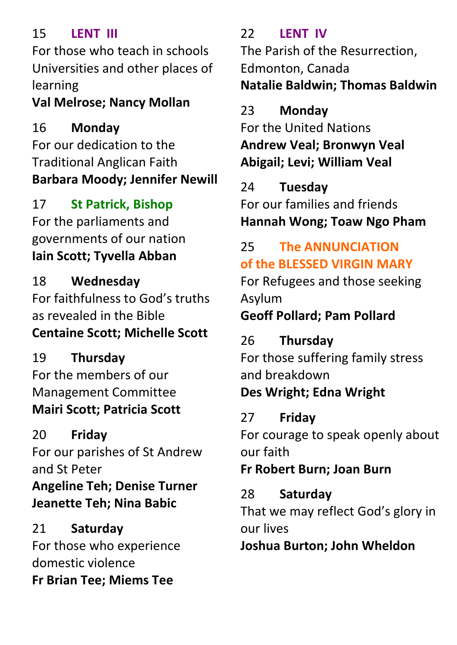#### 15 **LENT III**

For those who teach in schools Universities and other places of learning

# **Val Melrose; Nancy Mollan**

16 **Monday** For our dedication to the Traditional Anglican Faith **Barbara Moody; Jennifer Newill**

17 **St Patrick, Bishop** For the parliaments and governments of our nation **Iain Scott; Tyvella Abban**

18 **Wednesday** For faithfulness to God's truths as revealed in the Bible **Centaine Scott; Michelle Scott**

19 **Thursday** For the members of our Management Committee **Mairi Scott; Patricia Scott**

20 **Friday** For our parishes of St Andrew and St Peter **Angeline Teh; Denise Turner Jeanette Teh; Nina Babic**

21 **Saturday** For those who experience domestic violence **Fr Brian Tee; Miems Tee**

22 **LENT IV** The Parish of the Resurrection, Edmonton, Canada **Natalie Baldwin; Thomas Baldwin**

23 **Monday** For the United Nations **Andrew Veal; Bronwyn Veal Abigail; Levi; William Veal**

24 **Tuesday** For our families and friends **Hannah Wong; Toaw Ngo Pham**

# 25 **The ANNUNCIATION of the BLESSED VIRGIN MARY**

For Refugees and those seeking Asylum

# **Geoff Pollard; Pam Pollard**

# 26 **Thursday**

For those suffering family stress and breakdown **Des Wright; Edna Wright**

# 27 **Friday**

For courage to speak openly about our faith

# **Fr Robert Burn; Joan Burn**

28 **Saturday**

That we may reflect God's glory in our lives

**Joshua Burton; John Wheldon**